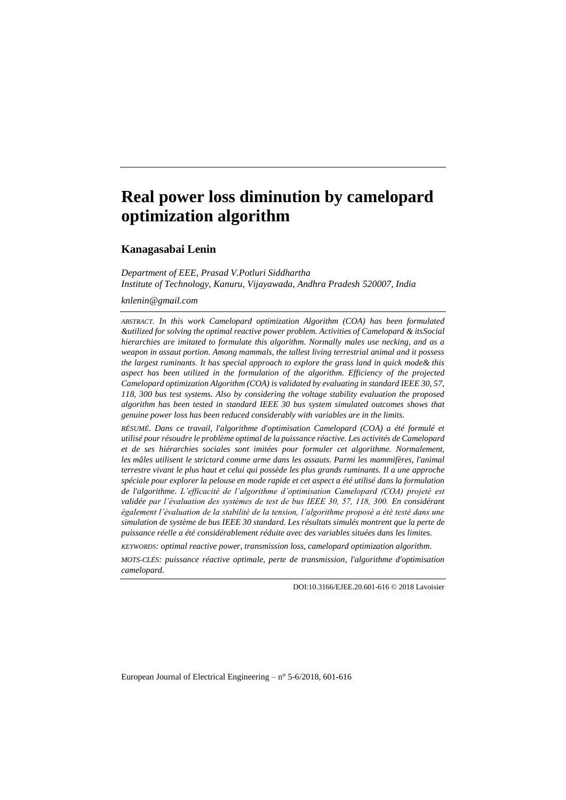# **Real power loss diminution by camelopard optimization algorithm**

**Kanagasabai Lenin**

*Department of EEE, Prasad V.Potluri Siddhartha Institute of Technology, Kanuru, Vijayawada, Andhra Pradesh 520007, India*

*knlenin@gmail.com*

*ABSTRACT. In this work Camelopard optimization Algorithm (COA) has been formulated &utilized for solving the optimal reactive power problem. Activities of Camelopard & itsSocial hierarchies are imitated to formulate this algorithm. Normally males use necking, and as a weapon in assaut portion. Among mammals, the tallest living terrestrial animal and it possess the largest ruminants. It has special approach to explore the grass land in quick mode& this aspect has been utilized in the formulation of the algorithm. Efficiency of the projected Camelopard optimization Algorithm (COA) is validated by evaluating in standard IEEE 30, 57, 118, 300 bus test systems. Also by considering the voltage stability evaluation the proposed algorithm has been tested in standard IEEE 30 bus system simulated outcomes shows that genuine power loss has been reduced considerably with variables are in the limits.*

*RÉSUMÉ. Dans ce travail, l'algorithme d'optimisation Camelopard (COA) a été formulé et utilisé pour résoudre le problème optimal de la puissance réactive. Les activités de Camelopard et de ses hiérarchies sociales sont imitées pour formuler cet algorithme. Normalement, les mâles utilisent le strictard comme arme dans les assauts. Parmi les mammifères, l'animal terrestre vivant le plus haut et celui qui possède les plus grands ruminants. Il a une approche spéciale pour explorer la pelouse en mode rapide et cet aspect a été utilisé dans la formulation de l'algorithme. L'efficacité de l'algorithme d'optimisation Camelopard (COA) projeté est validée par l'évaluation des systèmes de test de bus IEEE 30, 57, 118, 300. En considérant également l'évaluation de la stabilité de la tension, l'algorithme proposé a été testé dans une simulation de système de bus IEEE 30 standard. Les résultats simulés montrent que la perte de puissance réelle a été considérablement réduite avec des variables situées dans les limites.*

*KEYWORDS: optimal reactive power, transmission loss, camelopard optimization algorithm.*

*MOTS-CLÉS: puissance réactive optimale, perte de transmission, l'algorithme d'optimisation camelopard.*

DOI:10.3166/EJEE.20.601-616 © 2018 Lavoisier

European Journal of Electrical Engineering –  $n^{\circ}$  5-6/2018, 601-616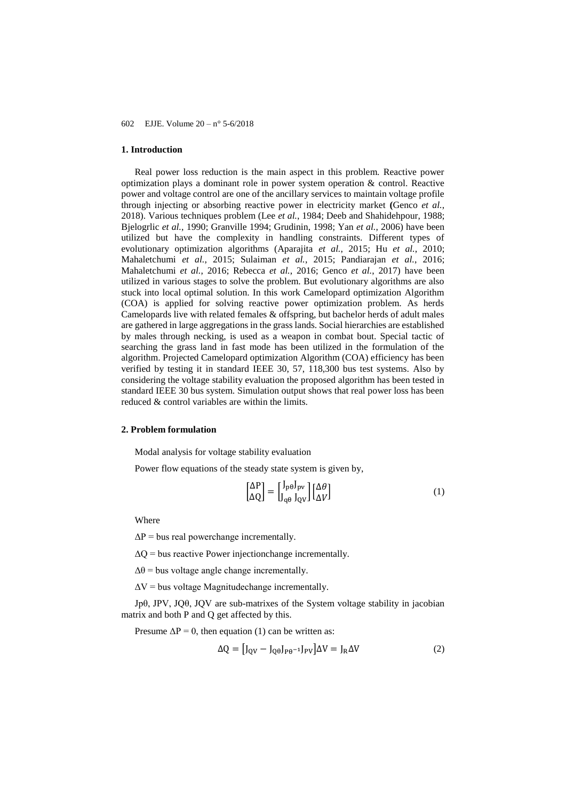## **1. Introduction**

Real power loss reduction is the main aspect in this problem. Reactive power optimization plays a dominant role in power system operation & control. Reactive power and voltage control are one of the ancillary services to maintain voltage profile through injecting or absorbing reactive power in electricity market **(**Genco *et al.*, 2018). Various techniques problem (Lee *et al.*, 1984; Deeb and Shahidehpour, 1988; Bjelogrlic *et al.*, 1990; Granville 1994; Grudinin, 1998; Yan *et al.*, 2006) have been utilized but have the complexity in handling constraints. Different types of evolutionary optimization algorithms (Aparajita *et al.*, 2015; Hu *et al.*, 2010; Mahaletchumi *et al.*, 2015; Sulaiman *et al.*, 2015; Pandiarajan *et al.*, 2016; Mahaletchumi *et al.*, 2016; Rebecca *et al.*, 2016; Genco *et al.*, 2017) have been utilized in various stages to solve the problem. But evolutionary algorithms are also stuck into local optimal solution. In this work Camelopard optimization Algorithm (COA) is applied for solving reactive power optimization problem. As herds Camelopards live with related females & offspring, but bachelor herds of adult males are gathered in large aggregations in the grass lands. Social hierarchies are established by males through necking, is used as a weapon in combat bout. Special tactic of searching the grass land in fast mode has been utilized in the formulation of the algorithm. Projected Camelopard optimization Algorithm (COA) efficiency has been verified by testing it in standard IEEE 30, 57, 118,300 bus test systems. Also by considering the voltage stability evaluation the proposed algorithm has been tested in standard IEEE 30 bus system. Simulation output shows that real power loss has been reduced & control variables are within the limits.

# **2. Problem formulation**

Modal analysis for voltage stability evaluation

Power flow equations of the steady state system is given by,

$$
\begin{bmatrix} \Delta P \\ \Delta Q \end{bmatrix} = \begin{bmatrix} J_{\rm p\theta} J_{\rm pv} \\ J_{\rm q\theta} \end{bmatrix} \begin{bmatrix} \Delta \theta \\ \Delta V \end{bmatrix} \tag{1}
$$

Where

 $\Delta P$  = bus real powerchange incrementally.

 $\Delta Q$  = bus reactive Power injectionchange incrementally.

 $\Delta\theta$  = bus voltage angle change incrementally.

 $\Delta V$  = bus voltage Magnitudechange incrementally.

Jpθ, JPV, JQθ, JQV are sub-matrixes of the System voltage stability in jacobian matrix and both P and Q get affected by this.

Presume  $\Delta P = 0$ , then equation (1) can be written as:

$$
\Delta Q = [J_{\text{QV}} - J_{\text{Q}\theta}J_{\text{P}\theta^{-1}}J_{\text{PV}}]\Delta V = J_{\text{R}}\Delta V \tag{2}
$$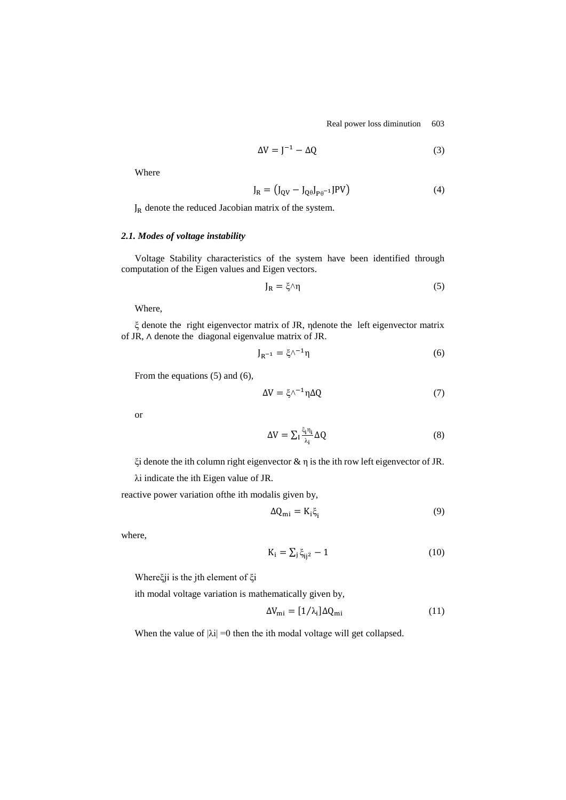Real power loss diminution 603

$$
\Delta V = J^{-1} - \Delta Q \tag{3}
$$

Where

$$
J_R = (J_{QV} - J_{Q\theta}J_{P\theta^{-1}}JPV)
$$
 (4)

 $J_R$  denote the reduced Jacobian matrix of the system.

# *2.1. Modes of voltage instability*

Voltage Stability characteristics of the system have been identified through computation of the Eigen values and Eigen vectors.

$$
J_R = \xi \wedge \eta \tag{5}
$$

Where,

ξ denote the right eigenvector matrix of JR, ηdenote the left eigenvector matrix of JR, ∧ denote the diagonal eigenvalue matrix of JR.

$$
J_{R^{-1}} = \xi \wedge^{-1} \eta \tag{6}
$$

From the equations (5) and (6),

$$
\Delta V = \xi \wedge^{-1} \eta \Delta Q \tag{7}
$$

or

$$
\Delta V = \sum_{i} \frac{\xi_{i} n_{i}}{\lambda_{i}} \Delta Q \tag{8}
$$

ξi denote the ith column right eigenvector & η is the ith row left eigenvector of JR.

λi indicate the ith Eigen value of JR.

reactive power variation ofthe ith modalis given by,

$$
\Delta Q_{\rm mi} = K_{\rm i} \xi_{\rm i} \tag{9}
$$

where,

$$
K_i = \sum_j \xi_{ij^2} - 1 \tag{10}
$$

Whereξji is the jth element of ξi

ith modal voltage variation is mathematically given by,

$$
\Delta V_{\rm mi} = [1/\lambda_{\rm i}] \Delta Q_{\rm mi} \tag{11}
$$

When the value of  $|\lambda i| = 0$  then the ith modal voltage will get collapsed.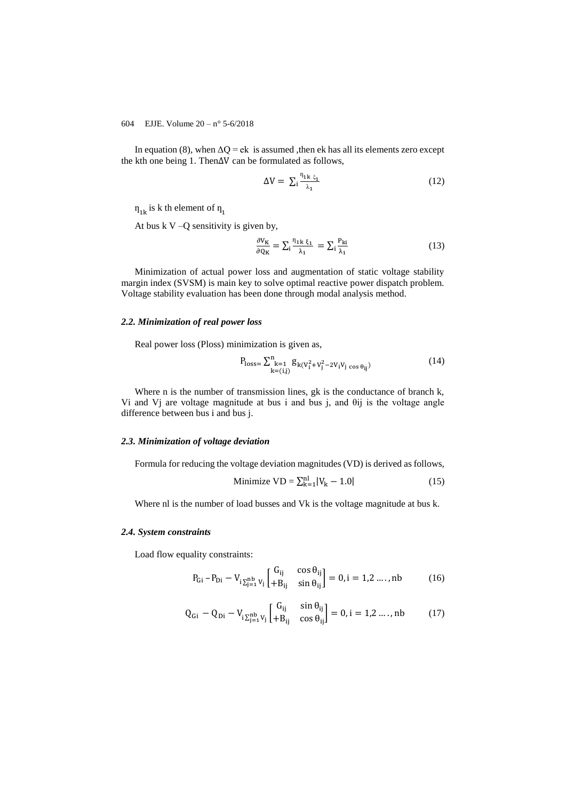In equation (8), when  $\Delta Q = e k$  is assumed , then ek has all its elements zero except the kth one being 1. Then∆V can be formulated as follows,

$$
\Delta V = \sum_{i} \frac{n_{1k \xi_1}}{\lambda_1} \tag{12}
$$

 $\eta_{1k}$  is k th element of  $\eta_{1k}$ 

At bus  $kV - Q$  sensitivity is given by,

$$
\frac{\partial V_K}{\partial Q_K} = \sum_{i} \frac{n_{1k} \xi_1}{\lambda_1} = \sum_{i} \frac{P_{ki}}{\lambda_1}
$$
(13)

Minimization of actual power loss and augmentation of static voltage stability margin index (SVSM) is main key to solve optimal reactive power dispatch problem. Voltage stability evaluation has been done through modal analysis method.

#### *2.2. Minimization of real power loss*

Real power loss (Ploss) minimization is given as,

$$
P_{\text{loss}} = \sum_{k=1}^{n} g_{k(V_{i}^{2} + V_{j}^{2} - 2V_{i}V_{j} \cos \theta_{ij})}
$$
(14)

Where n is the number of transmission lines, gk is the conductance of branch k, Vi and Vj are voltage magnitude at bus i and bus j, and θij is the voltage angle difference between bus i and bus j.

# *2.3. Minimization of voltage deviation*

Formula for reducing the voltage deviation magnitudes (VD) is derived as follows,

Minimize 
$$
VD = \sum_{k=1}^{nl} |V_k - 1.0|
$$
 (15)

Where nl is the number of load busses and Vk is the voltage magnitude at bus k.

#### *2.4. System constraints*

Load flow equality constraints:

$$
P_{Gi} - P_{Di} - V_{i\sum_{j=1}^{nb} V_j} \begin{bmatrix} G_{ij} & \cos \theta_{ij} \\ +B_{ij} & \sin \theta_{ij} \end{bmatrix} = 0, i = 1, 2, ..., nb \qquad (16)
$$

$$
Q_{Gi} - Q_{Di} - V_{i \sum_{j=1}^{nb} V_j} \begin{bmatrix} G_{ij} & \sin \theta_{ij} \\ +B_{ij} & \cos \theta_{ij} \end{bmatrix} = 0, i = 1, 2 \dots, nb \tag{17}
$$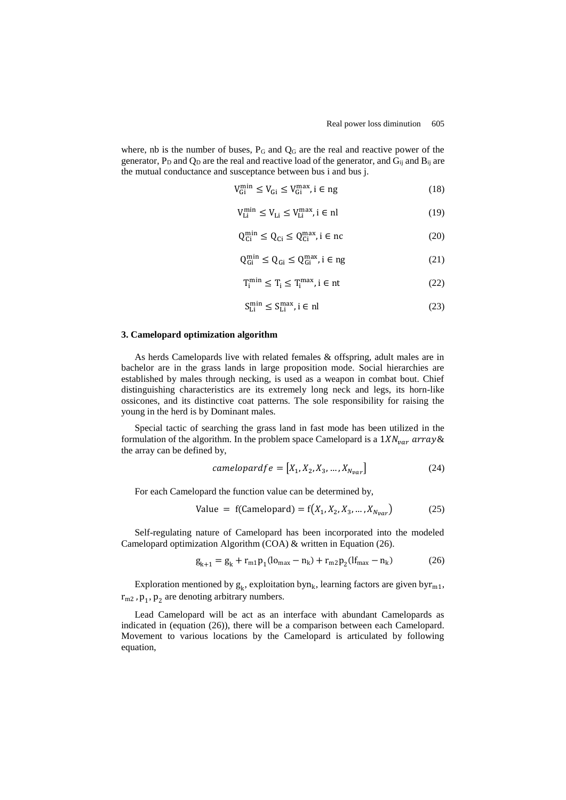where, nb is the number of buses, P<sub>G</sub> and Q<sub>G</sub> are the real and reactive power of the generator,  $P_D$  and  $Q_D$  are the real and reactive load of the generator, and  $G_{ij}$  and  $B_{ij}$  are the mutual conductance and susceptance between bus i and bus j.

$$
V_{Gi}^{\min} \le V_{Gi} \le V_{Gi}^{\max}, i \in ng
$$
\n(18)

$$
V_{Li}^{\min} \le V_{Li} \le V_{Li}^{\max}, i \in \mathbf{n} \tag{19}
$$

$$
Q_{Ci}^{min} \le Q_{Ci} \le Q_{Ci}^{max}, i \in nc
$$
 (20)

$$
Q_{Gi}^{min} \le Q_{Gi} \le Q_{Gi}^{max}, i \in ng
$$
 (21)

$$
T_i^{\min} \le T_i \le T_i^{\max}, i \in nt \tag{22}
$$

$$
S_{Li}^{\min} \le S_{Li}^{\max}, i \in \mathbf{n} \tag{23}
$$

#### **3. Camelopard optimization algorithm**

As herds Camelopards live with related females & offspring, adult males are in bachelor are in the grass lands in large proposition mode. Social hierarchies are established by males through necking, is used as a weapon in combat bout. Chief distinguishing characteristics are its extremely long neck and legs, its horn-like ossicones, and its distinctive coat patterns. The sole responsibility for raising the young in the herd is by Dominant males.

Special tactic of searching the grass land in fast mode has been utilized in the formulation of the algorithm. In the problem space Camelopard is a  $1 X N_{var}$  array & the array can be defined by,

$$
camelopardfe = [X_1, X_2, X_3, \dots, X_{N_{var}}]
$$
\n(24)

For each Camelopard the function value can be determined by,

Value = f(Camelopard) = 
$$
f(X_1, X_2, X_3, ..., X_{N_{var}})
$$
 (25)

Self-regulating nature of Camelopard has been incorporated into the modeled Camelopard optimization Algorithm (COA) & written in Equation (26).

$$
g_{k+1} = g_k + r_{m1} p_1 (l_{max} - n_k) + r_{m2} p_2 (l_{max} - n_k)
$$
 (26)

Exploration mentioned by  $g_k$ , exploitation byn<sub>k</sub>, learning factors are given byr<sub>m1</sub>,  $r_{m2}$ ,  $p_1$ ,  $p_2$  are denoting arbitrary numbers.

Lead Camelopard will be act as an interface with abundant Camelopards as indicated in (equation (26)), there will be a comparison between each Camelopard. Movement to various locations by the Camelopard is articulated by following equation,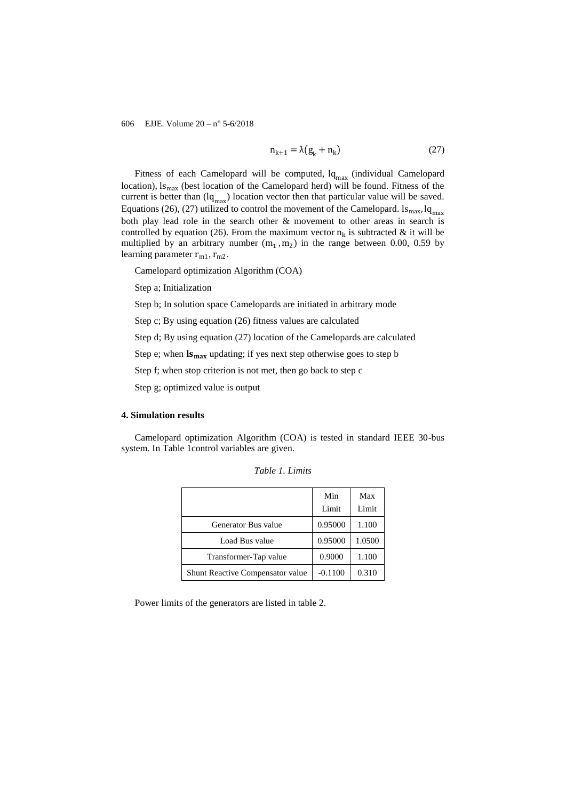$$
n_{k+1} = \lambda (g_k + n_k) \tag{27}
$$

Fitness of each Camelopard will be computed,  $lq_{max}$  (individual Camelopard location),  $\lg_{\text{max}}$  (best location of the Camelopard herd) will be found. Fitness of the current is better than  $(lq_{max})$  location vector then that particular value will be saved. Equations (26), (27) utilized to control the movement of the Camelopard.  $\lg_{\text{max}} \lg_{\text{max}}$ both play lead role in the search other & movement to other areas in search is controlled by equation (26). From the maximum vector  $n_k$  is subtracted & it will be multiplied by an arbitrary number  $(m_1, m_2)$  in the range between 0.00, 0.59 by learning parameter  $r_{m1}$ ,  $r_{m2}$ .

Camelopard optimization Algorithm (COA)

Step a; Initialization

Step b; In solution space Camelopards are initiated in arbitrary mode

Step c; By using equation (26) fitness values are calculated

Step d; By using equation (27) location of the Camelopards are calculated

Step e; when  $\mathbf{I} \mathbf{s}_{\text{max}}$  updating; if yes next step otherwise goes to step b

Step f; when stop criterion is not met, then go back to step c

Step g; optimized value is output

## **4. Simulation results**

Camelopard optimization Algorithm (COA) is tested in standard IEEE 30-bus system. In Table 1control variables are given.

|                                  | Min       | Max    |
|----------------------------------|-----------|--------|
|                                  | Limit     | Limit  |
| Generator Bus value              | 0.95000   | 1.100  |
| Load Bus value                   | 0.95000   | 1.0500 |
| Transformer-Tap value            | 0.9000    | 1.100  |
| Shunt Reactive Compensator value | $-0.1100$ | 0.310  |

*Table 1. Limits*

Power limits of the generators are listed in table 2.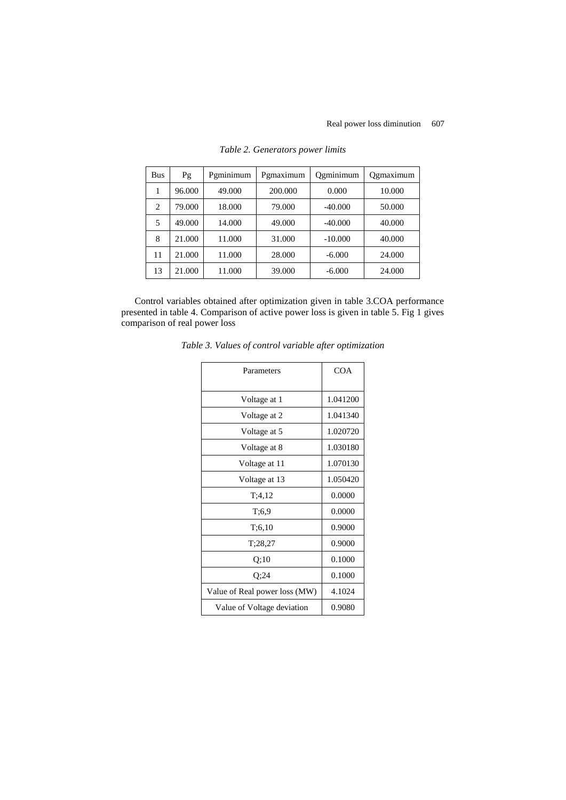| <b>Bus</b> | Pg     | Pgminimum | Pgmaximum | Ogminimum | Qgmaximum |
|------------|--------|-----------|-----------|-----------|-----------|
| 1          | 96.000 | 49.000    | 200.000   | 0.000     | 10.000    |
| 2          | 79.000 | 18.000    | 79.000    | $-40.000$ | 50.000    |
| 5          | 49.000 | 14.000    | 49.000    | $-40.000$ | 40.000    |
| 8          | 21.000 | 11.000    | 31.000    | $-10,000$ | 40.000    |
| 11         | 21.000 | 11.000    | 28.000    | $-6.000$  | 24.000    |
| 13         | 21.000 | 11.000    | 39.000    | $-6.000$  | 24.000    |

*Table 2. Generators power limits*

Control variables obtained after optimization given in table 3.COA performance presented in table 4. Comparison of active power loss is given in table 5. Fig 1 gives comparison of real power loss

| Parameters                    | <b>COA</b> |
|-------------------------------|------------|
| Voltage at 1                  | 1.041200   |
| Voltage at 2                  | 1.041340   |
| Voltage at 5                  | 1.020720   |
| Voltage at 8                  | 1.030180   |
| Voltage at 11                 | 1.070130   |
| Voltage at 13                 | 1.050420   |
| T; 4, 12                      | 0.0000     |
| T:6.9                         | 0.0000     |
| T:6,10                        | 0.9000     |
| T; 28, 27                     | 0.9000     |
| Q;10                          | 0.1000     |
| Q;24                          | 0.1000     |
| Value of Real power loss (MW) | 4.1024     |
| Value of Voltage deviation    | 0.9080     |

*Table 3. Values of control variable after optimization*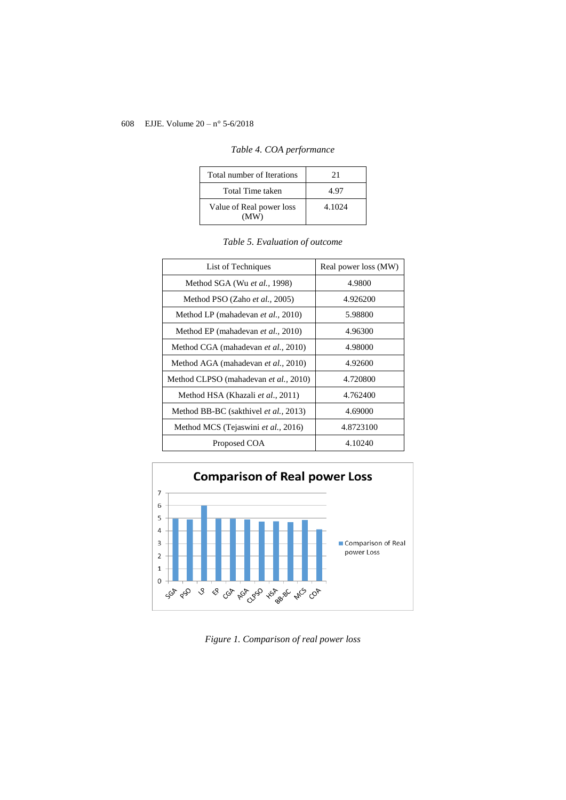| Total number of Iterations       | 21     |
|----------------------------------|--------|
| Total Time taken                 | 4.97   |
| Value of Real power loss<br>(MW) | 4.1024 |

|  | Table 4. COA performance |
|--|--------------------------|
|  |                          |

| List of Techniques                         | Real power loss (MW) |
|--------------------------------------------|----------------------|
| Method SGA (Wu et al., 1998)               | 4.9800               |
| Method PSO (Zaho et al., 2005)             | 4.926200             |
| Method LP (mahadevan <i>et al.</i> , 2010) | 5.98800              |
| Method EP (mahadevan et al., 2010)         | 4.96300              |
| Method CGA (mahadevan et al., 2010)        | 4.98000              |
| Method AGA (mahadevan et al., 2010)        | 4.92600              |
| Method CLPSO (mahadevan et al., 2010)      | 4.720800             |
| Method HSA (Khazali et al., 2011)          | 4.762400             |
| Method BB-BC (sakthivel et al., 2013)      | 4.69000              |
| Method MCS (Tejaswini et al., 2016)        | 4.8723100            |
| Proposed COA                               | 4.10240              |





*Figure 1. Comparison of real power loss*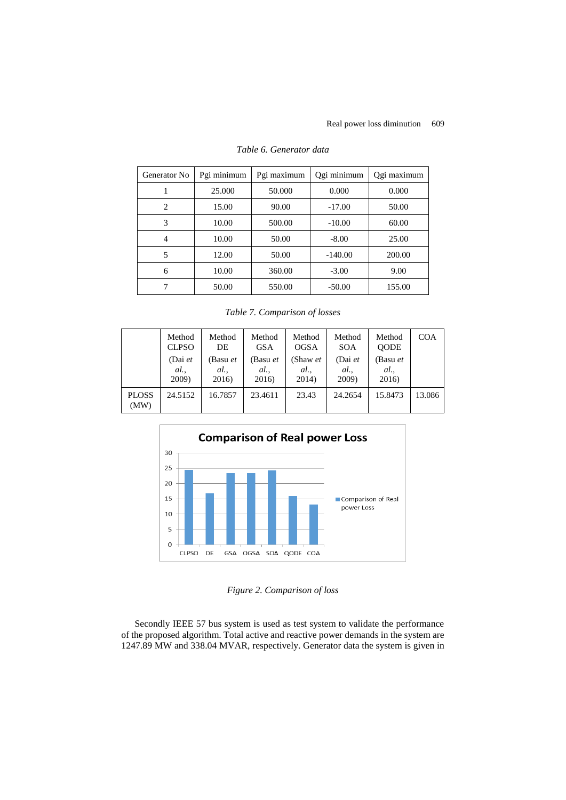| Generator No | Pgi minimum | Pgi maximum | Qgi minimum | Qgi maximum |
|--------------|-------------|-------------|-------------|-------------|
|              | 25,000      | 50.000      | 0.000       | 0.000       |
| 2            | 15.00       | 90.00       | $-17.00$    | 50.00       |
| 3            | 10.00       | 500.00      | $-10.00$    | 60.00       |
| 4            | 10.00       | 50.00       | $-8.00$     | 25.00       |
| 5            | 12.00       | 50.00       | $-140.00$   | 200.00      |
| 6            | 10.00       | 360.00      | $-3.00$     | 9.00        |
| 7            | 50.00       | 550.00      | $-50.00$    | 155.00      |

## *Table 6. Generator data*

*Table 7. Comparison of losses*

|                      | Method<br><b>CLPSO</b>    | Method<br>DE              | Method<br><b>GSA</b>     | Method<br><b>OGSA</b>    | Method<br><b>SOA</b>      | Method<br><b>OODE</b>    | <b>COA</b> |
|----------------------|---------------------------|---------------------------|--------------------------|--------------------------|---------------------------|--------------------------|------------|
|                      | (Dai $et$<br>al.<br>2009) | (Basu et<br>al.,<br>2016) | (Basu et<br>al.<br>2016) | (Shaw et<br>al.<br>2014) | (Dai $et$<br>al.<br>2009) | (Basu et<br>al.<br>2016) |            |
| <b>PLOSS</b><br>(MW) | 24.5152                   | 16.7857                   | 23.4611                  | 23.43                    | 24.2654                   | 15.8473                  | 13.086     |



*Figure 2. Comparison of loss*

Secondly IEEE 57 bus system is used as test system to validate the performance of the proposed algorithm. Total active and reactive power demands in the system are 1247.89 MW and 338.04 MVAR, respectively. Generator data the system is given in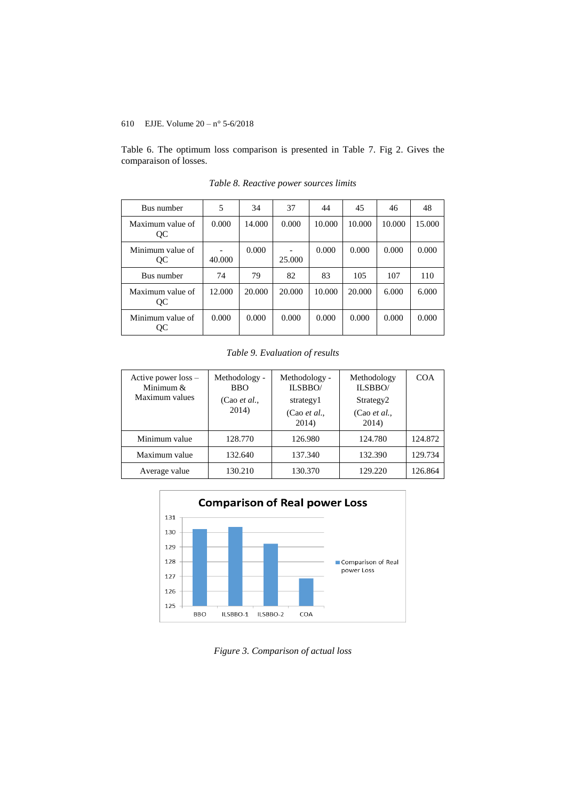Table 6. The optimum loss comparison is presented in Table 7. Fig 2. Gives the comparaison of losses.

| Bus number             | 5      | 34     | 37     | 44     | 45     | 46     | 48     |
|------------------------|--------|--------|--------|--------|--------|--------|--------|
| Maximum value of<br>QC | 0.000  | 14.000 | 0.000  | 10.000 | 10.000 | 10.000 | 15.000 |
| Minimum value of<br>QC | 40.000 | 0.000  | 25,000 | 0.000  | 0.000  | 0.000  | 0.000  |
| Bus number             | 74     | 79     | 82     | 83     | 105    | 107    | 110    |
| Maximum value of<br>QC | 12.000 | 20.000 | 20.000 | 10.000 | 20,000 | 6.000  | 6.000  |
| Minimum value of<br>QC | 0.000  | 0.000  | 0.000  | 0.000  | 0.000  | 0.000  | 0.000  |

*Table 8. Reactive power sources limits*

*Table 9. Evaluation of results*

| Active power $loss -$<br>Minimum $&$<br>Maximum values | Methodology -<br><b>BBO</b><br>(Cao et al.,<br>2014) | Methodology -<br>ILSBBO/<br>strategy1<br>(Cao et al.,<br>2014) | Methodology<br>ILSBBO/<br>Strategy <sub>2</sub><br>(Cao <i>et al.</i> ,<br>2014) | COA     |
|--------------------------------------------------------|------------------------------------------------------|----------------------------------------------------------------|----------------------------------------------------------------------------------|---------|
| Minimum value                                          | 128.770                                              | 126.980                                                        | 124.780                                                                          | 124.872 |
| Maximum value                                          | 132.640                                              | 137.340                                                        | 132.390                                                                          | 129.734 |
| Average value                                          | 130.210                                              | 130.370                                                        | 129.220                                                                          | 126.864 |



*Figure 3. Comparison of actual loss*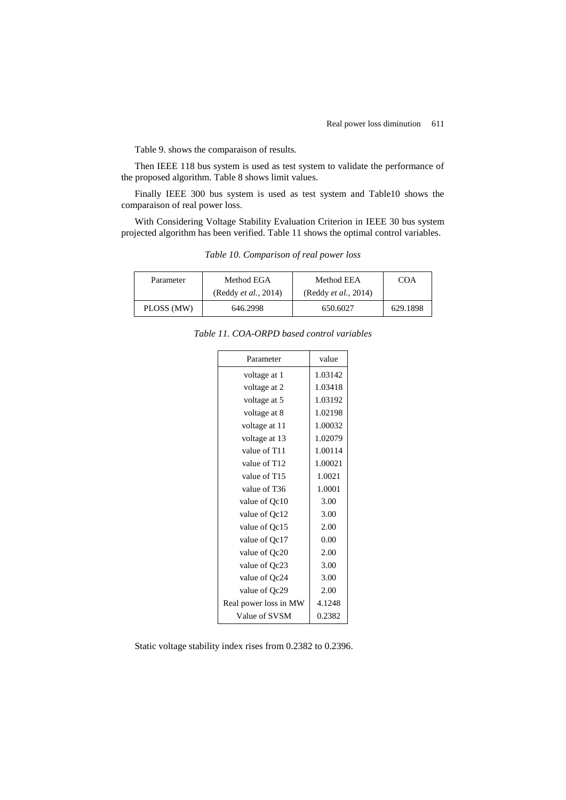Table 9. shows the comparaison of results.

Then IEEE 118 bus system is used as test system to validate the performance of the proposed algorithm. Table 8 shows limit values.

Finally IEEE 300 bus system is used as test system and Table10 shows the comparaison of real power loss.

With Considering Voltage Stability Evaluation Criterion in IEEE 30 bus system projected algorithm has been verified. Table 11 shows the optimal control variables.

*Table 10. Comparison of real power loss*

| Parameter  | Method EGA                   | Method EEA                   | COA      |
|------------|------------------------------|------------------------------|----------|
|            | (Reddy <i>et al.</i> , 2014) | (Reddy <i>et al.</i> , 2014) |          |
| PLOSS (MW) | 646.2998                     | 650.6027                     | 629.1898 |

*Table 11. COA-ORPD based control variables*

| Parameter             | value   |
|-----------------------|---------|
| voltage at 1          | 1.03142 |
| voltage at 2          | 1.03418 |
| voltage at 5          | 1.03192 |
| voltage at 8          | 1.02198 |
| voltage at 11         | 1.00032 |
| voltage at 13         | 1.02079 |
| value of T11          | 1.00114 |
| value of T12          | 1.00021 |
| value of T15          | 1.0021  |
| value of T36          | 1.0001  |
| value of Qc10         | 3.00    |
| value of Qc12         | 3.00    |
| value of Qc15         | 2.00    |
| value of Qc17         | 0.00    |
| value of Qc20         | 2.00    |
| value of Qc23         | 3.00    |
| value of Qc24         | 3.00    |
| value of Qc29         | 2.00    |
| Real power loss in MW | 4.1248  |
| Value of SVSM         | 0.2382  |

Static voltage stability index rises from 0.2382 to 0.2396.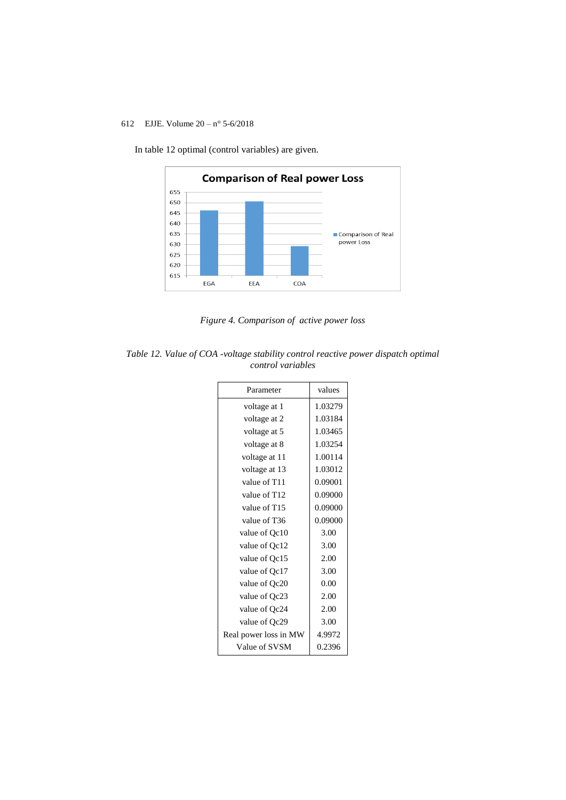

In table 12 optimal (control variables) are given.

*Figure 4. Comparison of active power loss*

| Table 12. Value of COA -voltage stability control reactive power dispatch optimal |  |
|-----------------------------------------------------------------------------------|--|
| control variables                                                                 |  |

| Parameter             | values  |
|-----------------------|---------|
| voltage at 1          | 1.03279 |
| voltage at 2          | 1.03184 |
| voltage at 5          | 1.03465 |
| voltage at 8          | 1.03254 |
| voltage at 11         | 1.00114 |
| voltage at 13         | 1.03012 |
| value of T11          | 0.09001 |
| value of T12          | 0.09000 |
| value of T15          | 0.09000 |
| value of T36          | 0.09000 |
| value of Qc10         | 3.00    |
| value of Qc12         | 3.00    |
| value of Qc15         | 2.00    |
| value of Qc17         | 3.00    |
| value of Qc20         | 0.00    |
| value of Qc23         | 2.00    |
| value of Qc24         | 2.00    |
| value of Qc29         | 3.00    |
| Real power loss in MW | 4.9972  |
| Value of SVSM         | 0.2396  |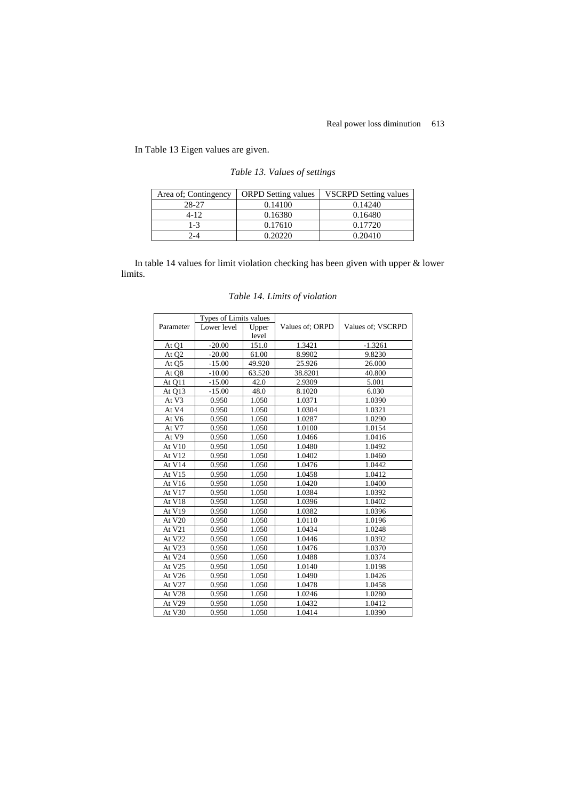In Table 13 Eigen values are given.

| Area of: Contingency | <b>ORPD</b> Setting values | <b>VSCRPD</b> Setting values |
|----------------------|----------------------------|------------------------------|
| 28-27                | 0.14100                    | 0.14240                      |
| $4 - 12$             | 0.16380                    | 0.16480                      |
| $1 - 3$              | 0.17610                    | 0.17720                      |
| ⊿-                   | 0.20220                    | 0.20410                      |

*Table 13. Values of settings*

In table 14 values for limit violation checking has been given with upper & lower limits.

|                   | Types of Limits values |        |                 |                   |
|-------------------|------------------------|--------|-----------------|-------------------|
| Parameter         | Lower level            | Upper  | Values of: ORPD | Values of: VSCRPD |
|                   |                        | level  |                 |                   |
| At Q1             | $-20.00$               | 151.0  | 1.3421          | $-1.3261$         |
| At Q <sub>2</sub> | $-20.00$               | 61.00  | 8.9902          | 9.8230            |
| At Q5             | $-15.00$               | 49.920 | 25.926          | 26.000            |
| At Q8             | $-10.00$               | 63.520 | 38.8201         | 40.800            |
| At Q11            | $-15.00$               | 42.0   | 2.9309          | 5.001             |
| At Q13            | $-15.00$               | 48.0   | 8.1020          | 6.030             |
| At V3             | 0.950                  | 1.050  | 1.0371          | 1.0390            |
| At V4             | 0.950                  | 1.050  | 1.0304          | 1.0321            |
| At V6             | 0.950                  | 1.050  | 1.0287          | 1.0290            |
| At V7             | 0.950                  | 1.050  | 1.0100          | 1.0154            |
| At V9             | 0.950                  | 1.050  | 1.0466          | 1.0416            |
| At $V10$          | 0.950                  | 1.050  | 1.0480          | 1.0492            |
| At V12            | 0.950                  | 1.050  | 1.0402          | 1.0460            |
| At V14            | 0.950                  | 1.050  | 1.0476          | 1.0442            |
| At V15            | 0.950                  | 1.050  | 1.0458          | 1.0412            |
| At V16            | 0.950                  | 1.050  | 1.0420          | 1.0400            |
| At V17            | 0.950                  | 1.050  | 1.0384          | 1.0392            |
| At V18            | 0.950                  | 1.050  | 1.0396          | 1.0402            |
| At V19            | 0.950                  | 1.050  | 1.0382          | 1.0396            |
| At V20            | 0.950                  | 1.050  | 1.0110          | 1.0196            |
| At V21            | 0.950                  | 1.050  | 1.0434          | 1.0248            |
| At V22            | 0.950                  | 1.050  | 1.0446          | 1.0392            |
| At V23            | 0.950                  | 1.050  | 1.0476          | 1.0370            |
| At V24            | 0.950                  | 1.050  | 1.0488          | 1.0374            |
| At V25            | 0.950                  | 1.050  | 1.0140          | 1.0198            |
| At V26            | 0.950                  | 1.050  | 1.0490          | 1.0426            |
| At V27            | 0.950                  | 1.050  | 1.0478          | 1.0458            |
| At V28            | 0.950                  | 1.050  | 1.0246          | 1.0280            |
| At V29            | 0.950                  | 1.050  | 1.0432          | 1.0412            |
| At V30            | 0.950                  | 1.050  | 1.0414          | 1.0390            |

*Table 14. Limits of violation*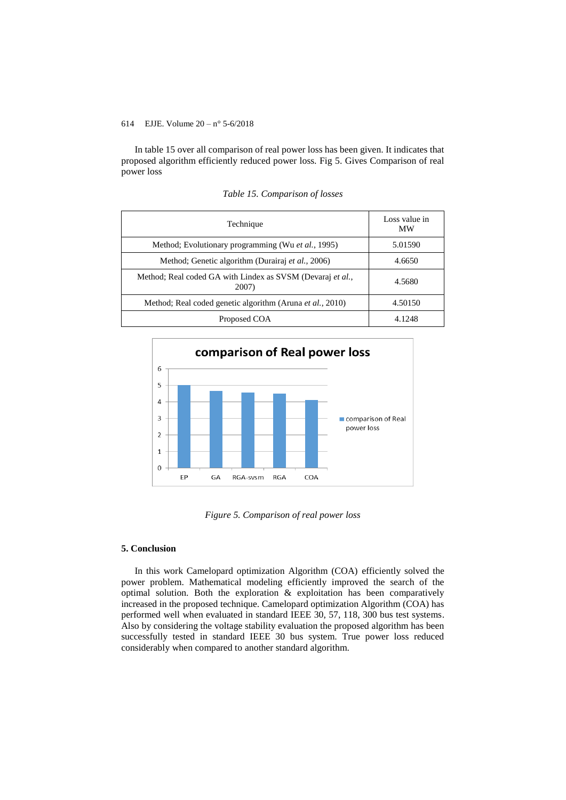In table 15 over all comparison of real power loss has been given. It indicates that proposed algorithm efficiently reduced power loss. Fig 5. Gives Comparison of real power loss

| Technique                                                           | Loss value in<br>MW |
|---------------------------------------------------------------------|---------------------|
| Method; Evolutionary programming (Wu et al., 1995)                  | 5.01590             |
| Method; Genetic algorithm (Durairaj et al., 2006)                   | 4.6650              |
| Method; Real coded GA with Lindex as SVSM (Devaraj et al.,<br>2007) | 4.5680              |
| Method; Real coded genetic algorithm (Aruna <i>et al.</i> , 2010)   | 4.50150             |
| Proposed COA                                                        | 4.1248              |

*Table 15. Comparison of losses*



*Figure 5. Comparison of real power loss*

### **5. Conclusion**

In this work Camelopard optimization Algorithm (COA) efficiently solved the power problem. Mathematical modeling efficiently improved the search of the optimal solution. Both the exploration & exploitation has been comparatively increased in the proposed technique. Camelopard optimization Algorithm (COA) has performed well when evaluated in standard IEEE 30, 57, 118, 300 bus test systems. Also by considering the voltage stability evaluation the proposed algorithm has been successfully tested in standard IEEE 30 bus system. True power loss reduced considerably when compared to another standard algorithm.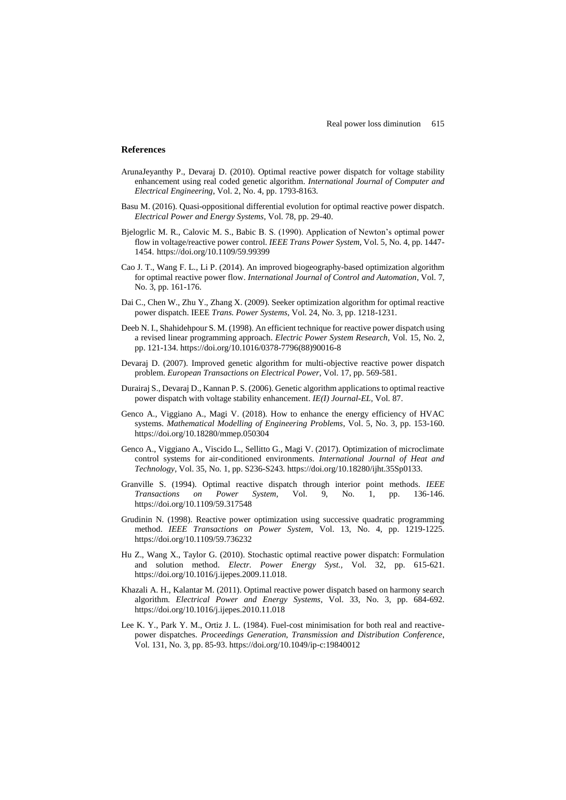### **References**

- ArunaJeyanthy P., Devaraj D. (2010). Optimal reactive power dispatch for voltage stability enhancement using real coded genetic algorithm. *International Journal of Computer and Electrical Engineering*, Vol. 2, No. 4, pp. 1793-8163.
- Basu M. (2016). Quasi-oppositional differential evolution for optimal reactive power dispatch. *Electrical Power and Energy Systems*, Vol. 78, pp. 29-40.
- Bjelogrlic M. R., Calovic M. S., Babic B. S. (1990). Application of Newton's optimal power flow in voltage/reactive power control. *IEEE Trans Power System*, Vol. 5, No. 4, pp. 1447- 1454. https://doi.org/10.1109/59.99399
- Cao J. T., Wang F. L., Li P. (2014). An improved biogeography-based optimization algorithm for optimal reactive power flow. *International Journal of Control and Automation*, Vol. 7, No. 3, pp. 161-176.
- Dai C., Chen W., Zhu Y., Zhang X. (2009). Seeker optimization algorithm for optimal reactive power dispatch. IEEE *Trans. Power Systems*, Vol. 24, No. 3, pp. 1218-1231.
- Deeb N. I., Shahidehpour S. M. (1998). An efficient technique for reactive power dispatch using a revised linear programming approach. *Electric Power System Research*, Vol. 15, No. 2, pp. 121-134. https://doi.org/10.1016/0378-7796(88)90016-8
- Devaraj D. (2007). Improved genetic algorithm for multi-objective reactive power dispatch problem. *European Transactions on Electrical Power*, Vol. 17, pp. 569-581.
- Durairaj S., Devaraj D., Kannan P. S. (2006). Genetic algorithm applications to optimal reactive power dispatch with voltage stability enhancement. *IE(I) Journal-EL,* Vol. 87.
- Genco A., Viggiano A., Magi V. (2018). How to enhance the energy efficiency of HVAC systems. *Mathematical Modelling of Engineering Problems*, Vol. 5, No. 3, pp. 153-160. https://doi.org/10.18280/mmep.050304
- Genco A., Viggiano A., Viscido L., Sellitto G., Magi V. (2017). Optimization of microclimate control systems for air-conditioned environments. *International Journal of Heat and Technology*, Vol. 35, No. 1, pp. S236-S243. https://doi.org/10.18280/ijht.35Sp0133.
- Granville S. (1994). Optimal reactive dispatch through interior point methods. *IEEE Transactions on Power System*, Vol. 9, No. 1, pp. 136-146. https://doi.org/10.1109/59.317548
- Grudinin N. (1998). Reactive power optimization using successive quadratic programming method. *IEEE Transactions on Power System*, Vol. 13, No. 4, pp. 1219-1225. https://doi.org/10.1109/59.736232
- Hu Z., Wang X., Taylor G. (2010). Stochastic optimal reactive power dispatch: Formulation and solution method. *Electr. Power Energy Syst.,* Vol. 32, pp. 615-621. https://doi.org/10.1016/j.ijepes.2009.11.018.
- Khazali A. H., Kalantar M. (2011). Optimal reactive power dispatch based on harmony search algorithm. *Electrical Power and Energy Systems*, Vol. 33, No. 3, pp. 684-692. https://doi.org/10.1016/j.ijepes.2010.11.018
- Lee K. Y., Park Y. M., Ortiz J. L. (1984). Fuel-cost minimisation for both real and reactivepower dispatches. *Proceedings Generation, Transmission and Distribution Conference*, Vol. 131, No. 3, pp. 85-93. https://doi.org/10.1049/ip-c:19840012